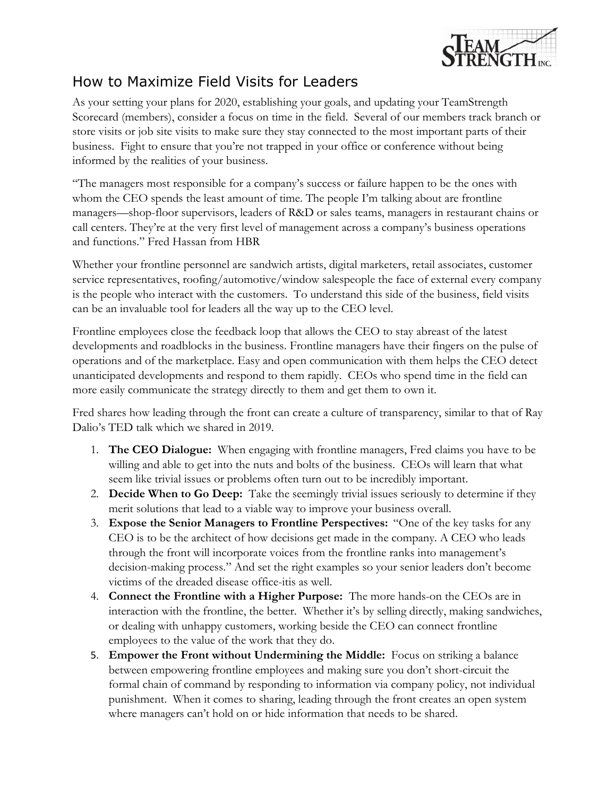

## How to Maximize Field Visits for Leaders

As your setting your plans for 2020, establishing your goals, and updating your TeamStrength Scorecard (members), consider a focus on time in the field. Several of our members track branch or store visits or job site visits to make sure they stay connected to the most important parts of their business. Fight to ensure that you're not trapped in your office or conference without being informed by the realities of your business.

"The managers most responsible for a company's success or failure happen to be the ones with whom the CEO spends the least amount of time. The people I'm talking about are frontline managers—shop-floor supervisors, leaders of R&D or sales teams, managers in restaurant chains or call centers. They're at the very first level of management across a company's business operations and functions." Fred Hassan from HBR

Whether your frontline personnel are sandwich artists, digital marketers, retail associates, customer service representatives, roofing/automotive/window salespeople the face of external every company is the people who interact with the customers. To understand this side of the business, field visits can be an invaluable tool for leaders all the way up to the CEO level.

Frontline employees close the feedback loop that allows the CEO to stay abreast of the latest developments and roadblocks in the business. Frontline managers have their fingers on the pulse of operations and of the marketplace. Easy and open communication with them helps the CEO detect unanticipated developments and respond to them rapidly. CEOs who spend time in the field can more easily communicate the strategy directly to them and get them to own it.

Fred shares how leading through the front can create a culture of transparency, similar to that of Ray Dalio's TED talk which we shared in 2019.

- 1. **The CEO Dialogue:** When engaging with frontline managers, Fred claims you have to be willing and able to get into the nuts and bolts of the business. CEOs will learn that what seem like trivial issues or problems often turn out to be incredibly important.
- 2. **Decide When to Go Deep:** Take the seemingly trivial issues seriously to determine if they merit solutions that lead to a viable way to improve your business overall.
- 3. **Expose the Senior Managers to Frontline Perspectives:** "One of the key tasks for any CEO is to be the architect of how decisions get made in the company. A CEO who leads through the front will incorporate voices from the frontline ranks into management's decision-making process." And set the right examples so your senior leaders don't become victims of the dreaded disease office-itis as well.
- 4. **Connect the Frontline with a Higher Purpose:** The more hands-on the CEOs are in interaction with the frontline, the better. Whether it's by selling directly, making sandwiches, or dealing with unhappy customers, working beside the CEO can connect frontline employees to the value of the work that they do.
- 5. **Empower the Front without Undermining the Middle:** Focus on striking a balance between empowering frontline employees and making sure you don't short-circuit the formal chain of command by responding to information via company policy, not individual punishment. When it comes to sharing, leading through the front creates an open system where managers can't hold on or hide information that needs to be shared.